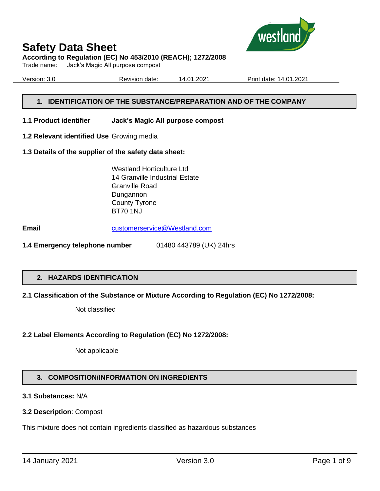

#### **According to Regulation (EC) No 453/2010 (REACH); 1272/2008**

Trade name: Jack's Magic All purpose compost

Version: 3.0 Revision date: 14.01.2021 Print date: 14.01.2021

#### **1. IDENTIFICATION OF THE SUBSTANCE/PREPARATION AND OF THE COMPANY**

#### **1.1 Product identifier Jack's Magic All purpose compost**

- **1.2 Relevant identified Use** Growing media
- **1.3 Details of the supplier of the safety data sheet:**

Westland Horticulture Ltd 14 Granville Industrial Estate Granville Road Dungannon County Tyrone BT70 1NJ

**Email** [customerservice@Westland.com](mailto:customerservice@Westland.com)

**1.4 Emergency telephone number** 01480 443789 (UK) 24hrs

#### **2. HAZARDS IDENTIFICATION**

#### **2.1 Classification of the Substance or Mixture According to Regulation (EC) No 1272/2008:**

Not classified

#### **2.2 Label Elements According to Regulation (EC) No 1272/2008:**

Not applicable

#### **3. COMPOSITION/INFORMATION ON INGREDIENTS**

#### **3.1 Substances:** N/A

#### **3.2 Description**: Compost

This mixture does not contain ingredients classified as hazardous substances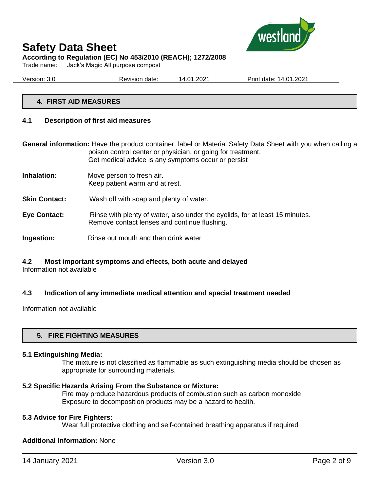

Trade name: Jack's Magic All purpose compost

Version: 3.0 Revision date: 14.01.2021 Print date: 14.01.2021

#### **4. FIRST AID MEASURES**

#### **4.1 Description of first aid measures**

**General information:** Have the product container, label or Material Safety Data Sheet with you when calling a poison control center or physician, or going for treatment. Get medical advice is any symptoms occur or persist

- **Inhalation:** Move person to fresh air. Keep patient warm and at rest.
- **Skin Contact:** Wash off with soap and plenty of water.
- **Eye Contact:** Rinse with plenty of water, also under the eyelids, for at least 15 minutes. Remove contact lenses and continue flushing.
- **Ingestion:** Rinse out mouth and then drink water

#### **4.2 Most important symptoms and effects, both acute and delayed**

Information not available

#### **4.3 Indication of any immediate medical attention and special treatment needed**

Information not available

#### **5. FIRE FIGHTING MEASURES**

#### **5.1 Extinguishing Media:**

The mixture is not classified as flammable as such extinguishing media should be chosen as appropriate for surrounding materials.

#### **5.2 Specific Hazards Arising From the Substance or Mixture:**

Fire may produce hazardous products of combustion such as carbon monoxide Exposure to decomposition products may be a hazard to health.

#### **5.3 Advice for Fire Fighters:**

Wear full protective clothing and self-contained breathing apparatus if required

#### **Additional Information:** None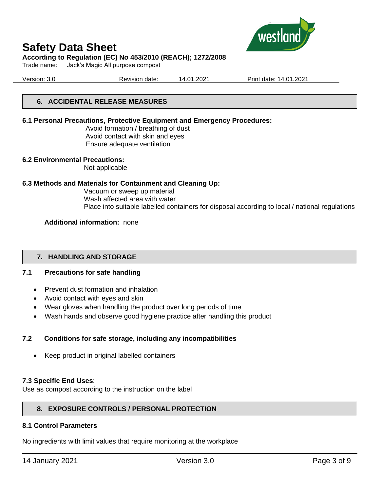

#### **According to Regulation (EC) No 453/2010 (REACH); 1272/2008**

Trade name: Jack's Magic All purpose compost

Version: 3.0 Revision date: 14.01.2021 Print date: 14.01.2021

#### **6. ACCIDENTAL RELEASE MEASURES**

#### **6.1 Personal Precautions, Protective Equipment and Emergency Procedures:**

Avoid formation / breathing of dust Avoid contact with skin and eyes Ensure adequate ventilation

#### **6.2 Environmental Precautions:**

Not applicable

#### **6.3 Methods and Materials for Containment and Cleaning Up:**

Vacuum or sweep up material Wash affected area with water Place into suitable labelled containers for disposal according to local / national regulations

#### **Additional information:** none

#### **7. HANDLING AND STORAGE**

#### **7.1 Precautions for safe handling**

- Prevent dust formation and inhalation
- Avoid contact with eyes and skin
- Wear gloves when handling the product over long periods of time
- Wash hands and observe good hygiene practice after handling this product

#### **7.2 Conditions for safe storage, including any incompatibilities**

• Keep product in original labelled containers

#### **7.3 Specific End Uses**:

Use as compost according to the instruction on the label

#### **8. EXPOSURE CONTROLS / PERSONAL PROTECTION**

#### **8.1 Control Parameters**

No ingredients with limit values that require monitoring at the workplace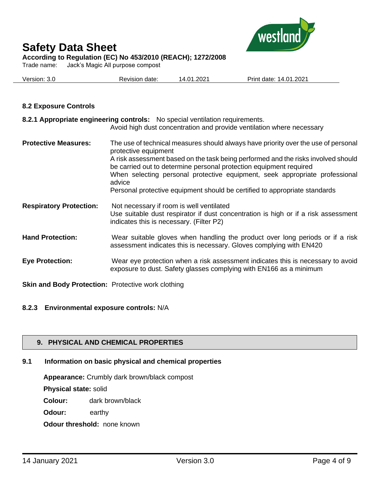

**According to Regulation (EC) No 453/2010 (REACH); 1272/2008**

Trade name: Jack's Magic All purpose compost

| Version:<br>.J.U | Revision<br>date: | 2021.،<br>01.,<br>$\sqrt{ }$ | 1.2021<br>14.01<br>Print<br>date: |
|------------------|-------------------|------------------------------|-----------------------------------|
|                  |                   |                              |                                   |

#### **8.2 Exposure Controls**

| 8.2.1 Appropriate engineering controls: No special ventilation requirements.<br>Avoid high dust concentration and provide ventilation where necessary                                                                                                                                                                                                                                                                                        |
|----------------------------------------------------------------------------------------------------------------------------------------------------------------------------------------------------------------------------------------------------------------------------------------------------------------------------------------------------------------------------------------------------------------------------------------------|
| The use of technical measures should always have priority over the use of personal<br>protective equipment<br>A risk assessment based on the task being performed and the risks involved should<br>be carried out to determine personal protection equipment required<br>When selecting personal protective equipment, seek appropriate professional<br>advice<br>Personal protective equipment should be certified to appropriate standards |
| Not necessary if room is well ventilated<br>Use suitable dust respirator if dust concentration is high or if a risk assessment<br>indicates this is necessary. (Filter P2)                                                                                                                                                                                                                                                                   |
| Wear suitable gloves when handling the product over long periods or if a risk<br>assessment indicates this is necessary. Gloves complying with EN420                                                                                                                                                                                                                                                                                         |
| Wear eye protection when a risk assessment indicates this is necessary to avoid<br>exposure to dust. Safety glasses complying with EN166 as a minimum                                                                                                                                                                                                                                                                                        |
|                                                                                                                                                                                                                                                                                                                                                                                                                                              |

**Skin and Body Protection:** Protective work clothing

#### **8.2.3 Environmental exposure controls:** N/A

#### **9. PHYSICAL AND CHEMICAL PROPERTIES**

### **9.1 Information on basic physical and chemical properties**

**Appearance:** Crumbly dark brown/black compost

**Physical state:** solid

**Colour:** dark brown/black

**Odour:** earthy

**Odour threshold:** none known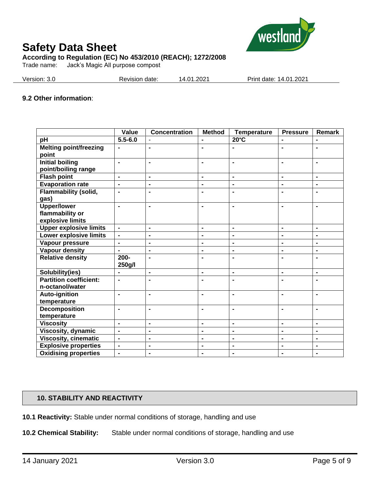

Trade name: Jack's Magic All purpose compost

| Version: 3.0 | Revision date: | 14.01.2021 | Print date: 14.01.2021 |
|--------------|----------------|------------|------------------------|
|              |                |            |                        |

#### **9.2 Other information**:

|                                               | Value                    | <b>Concentration</b> | <b>Method</b>  | <b>Temperature</b>       | <b>Pressure</b> | Remark         |
|-----------------------------------------------|--------------------------|----------------------|----------------|--------------------------|-----------------|----------------|
| pH                                            | $5.5 - 6.0$              |                      |                | $20^{\circ}$ C           | ۰               |                |
| <b>Melting point/freezing</b><br>point        | ۰                        | $\blacksquare$       | $\blacksquare$ |                          |                 | $\blacksquare$ |
| <b>Initial boiling</b><br>point/boiling range | $\blacksquare$           | $\blacksquare$       | $\blacksquare$ | $\blacksquare$           | ۰               | $\blacksquare$ |
| <b>Flash point</b>                            | $\blacksquare$           | $\blacksquare$       | $\blacksquare$ | $\blacksquare$           | $\blacksquare$  | $\blacksquare$ |
| <b>Evaporation rate</b>                       | ä,                       | $\blacksquare$       | $\blacksquare$ | $\overline{\phantom{a}}$ | $\blacksquare$  | $\blacksquare$ |
| Flammability (solid,<br>gas)                  | $\blacksquare$           | $\blacksquare$       | $\blacksquare$ | $\blacksquare$           |                 |                |
| <b>Upper/lower</b>                            | $\blacksquare$           | $\blacksquare$       | $\blacksquare$ | $\blacksquare$           | $\blacksquare$  |                |
| flammability or                               |                          |                      |                |                          |                 |                |
| explosive limits                              |                          |                      |                |                          |                 |                |
| <b>Upper explosive limits</b>                 | $\frac{1}{2}$            | $\blacksquare$       | $\blacksquare$ | $\blacksquare$           | $\blacksquare$  | $\blacksquare$ |
| Lower explosive limits                        | $\overline{\phantom{0}}$ | $\blacksquare$       | $\blacksquare$ | $\blacksquare$           | $\blacksquare$  | $\blacksquare$ |
| Vapour pressure                               | $\blacksquare$           | $\blacksquare$       | $\blacksquare$ | $\blacksquare$           | $\blacksquare$  | $\blacksquare$ |
| Vapour density                                | ÷,                       | $\blacksquare$       | $\blacksquare$ | $\blacksquare$           | ä,              | $\blacksquare$ |
| <b>Relative density</b>                       | $200 -$<br>250g/l        | $\blacksquare$       | $\blacksquare$ | $\blacksquare$           | $\blacksquare$  | $\blacksquare$ |
| Solubility(ies)                               |                          | $\blacksquare$       | $\blacksquare$ | $\blacksquare$           | $\blacksquare$  | $\blacksquare$ |
| <b>Partition coefficient:</b>                 | $\blacksquare$           | $\blacksquare$       | $\blacksquare$ | $\blacksquare$           | $\blacksquare$  | $\blacksquare$ |
| n-octanol/water                               |                          |                      |                |                          |                 |                |
| Auto-ignition                                 | $\blacksquare$           | $\blacksquare$       | $\blacksquare$ | $\blacksquare$           | $\blacksquare$  | $\blacksquare$ |
| temperature                                   |                          |                      |                |                          |                 |                |
| Decomposition                                 | $\blacksquare$           | $\blacksquare$       | $\blacksquare$ | $\blacksquare$           |                 |                |
| temperature                                   |                          |                      |                |                          |                 |                |
| <b>Viscosity</b>                              | $\blacksquare$           | $\blacksquare$       | $\blacksquare$ | $\blacksquare$           | ÷,              | $\blacksquare$ |
| Viscosity, dynamic                            | $\overline{\phantom{0}}$ | $\blacksquare$       | $\blacksquare$ | $\blacksquare$           | $\blacksquare$  | $\blacksquare$ |
| <b>Viscosity, cinematic</b>                   | $\blacksquare$           | $\blacksquare$       | $\blacksquare$ | $\blacksquare$           | ۰               | $\blacksquare$ |
| <b>Explosive properties</b>                   | $\blacksquare$           | $\blacksquare$       | $\blacksquare$ | $\overline{\phantom{a}}$ | $\blacksquare$  | $\blacksquare$ |
| <b>Oxidising properties</b>                   | $\blacksquare$           | $\blacksquare$       | $\blacksquare$ | $\blacksquare$           | $\blacksquare$  | $\blacksquare$ |

#### **10. STABILITY AND REACTIVITY**

**10.1 Reactivity:** Stable under normal conditions of storage, handling and use

**10.2 Chemical Stability:** Stable under normal conditions of storage, handling and use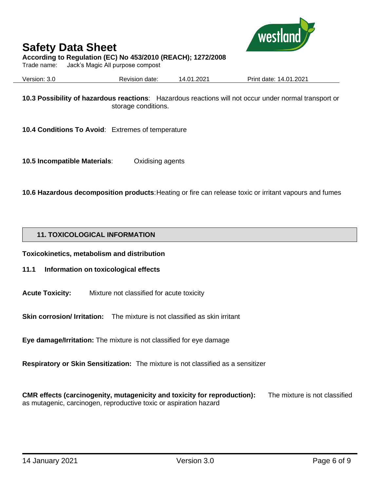

#### **According to Regulation (EC) No 453/2010 (REACH); 1272/2008**

Trade name: Jack's Magic All purpose compost

Version: 3.0 Revision date: 14.01.2021 Print date: 14.01.2021

**10.3 Possibility of hazardous reactions**: Hazardous reactions will not occur under normal transport or storage conditions.

**10.4 Conditions To Avoid**: Extremes of temperature

**10.5 Incompatible Materials**: Oxidising agents

**10.6 Hazardous decomposition products**: Heating or fire can release toxic or irritant vapours and fumes

#### **11. TOXICOLOGICAL INFORMATION**

**Toxicokinetics, metabolism and distribution**

#### **11.1 Information on toxicological effects**

**Acute Toxicity:** Mixture not classified for acute toxicity

**Skin corrosion/ Irritation:** The mixture is not classified as skin irritant

**Eye damage/Irritation:** The mixture is not classified for eye damage

**Respiratory or Skin Sensitization:** The mixture is not classified as a sensitizer

**CMR effects (carcinogenity, mutagenicity and toxicity for reproduction):** The mixture is not classified as mutagenic, carcinogen, reproductive toxic or aspiration hazard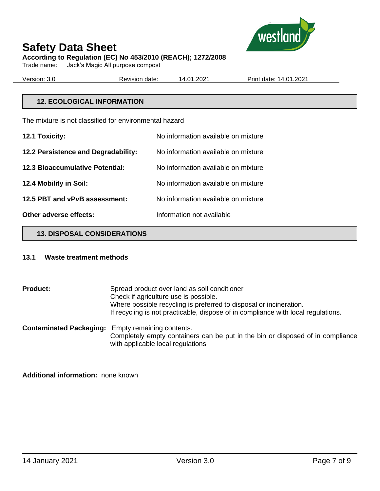

Trade name: Jack's Magic All purpose compost

Version: 3.0 Revision date: 14.01.2021 Print date: 14.01.2021

#### **12. ECOLOGICAL INFORMATION**

The mixture is not classified for environmental hazard

| 12.1 Toxicity:                         | No information available on mixture |
|----------------------------------------|-------------------------------------|
| 12.2 Persistence and Degradability:    | No information available on mixture |
| <b>12.3 Bioaccumulative Potential:</b> | No information available on mixture |
| 12.4 Mobility in Soil:                 | No information available on mixture |
| 12.5 PBT and vPvB assessment:          | No information available on mixture |
| Other adverse effects:                 | Information not available           |

#### **13. DISPOSAL CONSIDERATIONS**

#### **13.1 Waste treatment methods**

**Product:** Spread product over land as soil conditioner Check if agriculture use is possible. Where possible recycling is preferred to disposal or incineration. If recycling is not practicable, dispose of in compliance with local regulations. **Contaminated Packaging:** Empty remaining contents. Completely empty containers can be put in the bin or disposed of in compliance

with applicable local regulations

**Additional information:** none known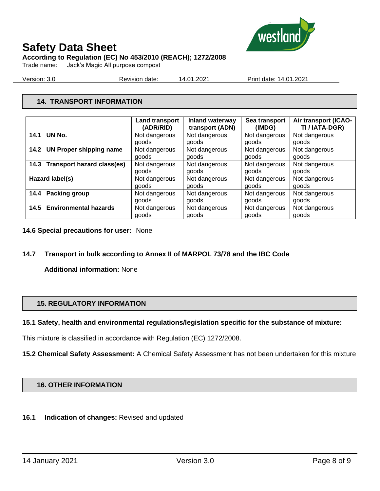

**According to Regulation (EC) No 453/2010 (REACH); 1272/2008**

Trade name: Jack's Magic All purpose compost

Version: 3.0 Revision date: 14.01.2021 Print date: 14.01.2021

#### **14. TRANSPORT INFORMATION**

|                                 | <b>Land transport</b><br>(ADR/RID) | Inland waterway<br>transport (ADN) | Sea transport<br>(IMDG) | Air transport (ICAO-<br>TI / IATA-DGR) |
|---------------------------------|------------------------------------|------------------------------------|-------------------------|----------------------------------------|
| 14.1 UN No.                     |                                    |                                    |                         |                                        |
|                                 | Not dangerous                      | Not dangerous                      | Not dangerous           | Not dangerous                          |
|                                 | goods                              | goods                              | goods                   | goods                                  |
| 14.2 UN Proper shipping name    | Not dangerous                      | Not dangerous                      | Not dangerous           | Not dangerous                          |
|                                 | goods                              | goods                              | goods                   | goods                                  |
| 14.3 Transport hazard class(es) | Not dangerous                      | Not dangerous                      | Not dangerous           | Not dangerous                          |
|                                 | goods                              | goods                              | goods                   | goods                                  |
| Hazard label(s)                 | Not dangerous                      | Not dangerous                      | Not dangerous           | Not dangerous                          |
|                                 | goods                              | goods                              | goods                   | goods                                  |
| 14.4 Packing group              | Not dangerous                      | Not dangerous                      | Not dangerous           | Not dangerous                          |
|                                 | goods                              | goods                              | goods                   | goods                                  |
| 14.5 Environmental hazards      | Not dangerous                      | Not dangerous                      | Not dangerous           | Not dangerous                          |
|                                 | goods                              | goods                              | goods                   | goods                                  |

#### **14.6 Special precautions for user:** None

#### **14.7 Transport in bulk according to Annex II of MARPOL 73/78 and the IBC Code**

**Additional information:** None

#### **15. REGULATORY INFORMATION**

#### **15.1 Safety, health and environmental regulations/legislation specific for the substance of mixture:**

This mixture is classified in accordance with Regulation (EC) 1272/2008.

**15.2 Chemical Safety Assessment:** A Chemical Safety Assessment has not been undertaken for this mixture

#### **16. OTHER INFORMATION**

#### **16.1 Indication of changes:** Revised and updated